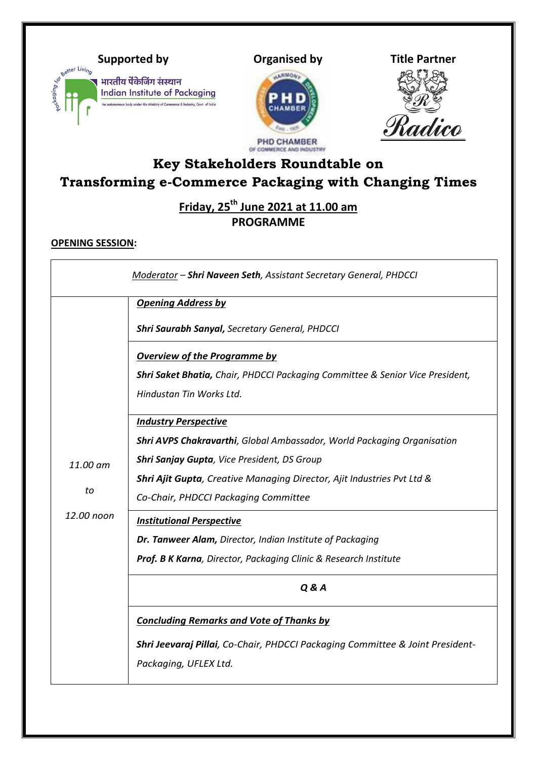







# **Key Stakeholders Roundtable on Transforming e-Commerce Packaging with Changing Times**

**Friday, 25th June 2021 at 11.00 am PROGRAMME**

# **OPENING SESSION:**

|                              | Moderator - Shri Naveen Seth, Assistant Secretary General, PHDCCI                        |
|------------------------------|------------------------------------------------------------------------------------------|
| 11.00 am<br>to<br>12.00 noon | <b>Opening Address by</b>                                                                |
|                              | <b>Shri Saurabh Sanyal, Secretary General, PHDCCI</b>                                    |
|                              | <b>Overview of the Programme by</b>                                                      |
|                              | <b>Shri Saket Bhatia, Chair, PHDCCI Packaging Committee &amp; Senior Vice President,</b> |
|                              | Hindustan Tin Works Ltd.                                                                 |
|                              | <b>Industry Perspective</b>                                                              |
|                              | Shri AVPS Chakravarthi, Global Ambassador, World Packaging Organisation                  |
|                              | Shri Sanjay Gupta, Vice President, DS Group                                              |
|                              | <b>Shri Ajit Gupta</b> , Creative Managing Director, Ajit Industries Pvt Ltd &           |
|                              | Co-Chair, PHDCCI Packaging Committee                                                     |
|                              | <b>Institutional Perspective</b>                                                         |
|                              | Dr. Tanweer Alam, Director, Indian Institute of Packaging                                |
|                              | Prof. B K Karna, Director, Packaging Clinic & Research Institute                         |
|                              | <b>Q &amp; A</b>                                                                         |
|                              | <b>Concluding Remarks and Vote of Thanks by</b>                                          |
|                              | Shri Jeevaraj Pillai, Co-Chair, PHDCCI Packaging Committee & Joint President-            |
|                              | Packaging, UFLEX Ltd.                                                                    |